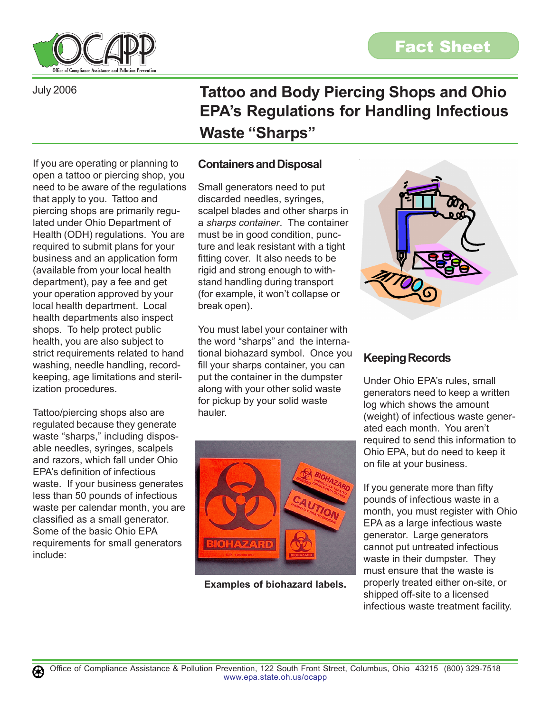

If you are operating or planning to

that apply to you. Tattoo and piercing shops are primarily regulated under Ohio Department of

required to submit plans for your business and an application form (available from your local health department), pay a fee and get your operation approved by your local health department. Local health departments also inspect shops. To help protect public health, you are also subject to strict requirements related to hand washing, needle handling, recordkeeping, age limitations and steril-

ization procedures.

include:

Tattoo/piercing shops also are regulated because they generate waste "sharps," including disposable needles, syringes, scalpels and razors, which fall under Ohio EPA's definition of infectious

waste. If your business generates less than 50 pounds of infectious waste per calendar month, you are classified as a small generator. Some of the basic Ohio EPA requirements for small generators

July 2006

**Tattoo and Body Piercing Shops and Ohio EPA's Regulations for Handling Infectious Waste "Sharps"**

## **Containers and Disposal**

open a tattoo or piercing shop, you need to be aware of the regulations Health (ODH) regulations. You are Small generators need to put discarded needles, syringes, scalpel blades and other sharps in a *sharps container*. The container must be in good condition, puncture and leak resistant with a tight fitting cover. It also needs to be rigid and strong enough to withstand handling during transport (for example, it won't collapse or break open).

> You must label your container with the word "sharps" and the international biohazard symbol. Once you fill your sharps container, you can put the container in the dumpster along with your other solid waste for pickup by your solid waste hauler.



**Examples of biohazard labels.**



## **Keeping Records**

Under Ohio EPA's rules, small generators need to keep a written log which shows the amount (weight) of infectious waste generated each month. You aren't required to send this information to Ohio EPA, but do need to keep it on file at your business.

If you generate more than fifty pounds of infectious waste in a month, you must register with Ohio EPA as a large infectious waste generator. Large generators cannot put untreated infectious waste in their dumpster. They must ensure that the waste is properly treated either on-site, or shipped off-site to a licensed infectious waste treatment facility.